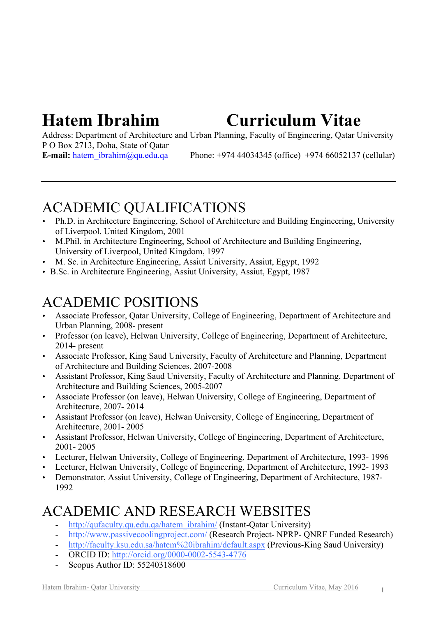# **Hatem Ibrahim Curriculum Vitae**

Address: Department of Architecture and Urban Planning, Faculty of Engineering, Qatar University P O Box 2713, Doha, State of Qatar **E-mail:** hatem\_ibrahim@qu.edu.qa Phone: +974 44034345 (office) +974 66052137 (cellular)

## ACADEMIC QUALIFICATIONS

- Ph.D. in Architecture Engineering, School of Architecture and Building Engineering, University of Liverpool, United Kingdom, 2001
- M.Phil. in Architecture Engineering, School of Architecture and Building Engineering, University of Liverpool, United Kingdom, 1997
- M. Sc. in Architecture Engineering, Assiut University, Assiut, Egypt, 1992
- B.Sc. in Architecture Engineering, Assiut University, Assiut, Egypt, 1987

## ACADEMIC POSITIONS

- Associate Professor, Qatar University, College of Engineering, Department of Architecture and Urban Planning, 2008- present
- Professor (on leave), Helwan University, College of Engineering, Department of Architecture, 2014- present
- Associate Professor, King Saud University, Faculty of Architecture and Planning, Department of Architecture and Building Sciences, 2007-2008
- Assistant Professor, King Saud University, Faculty of Architecture and Planning, Department of Architecture and Building Sciences, 2005-2007
- Associate Professor (on leave), Helwan University, College of Engineering, Department of Architecture, 2007- 2014
- Assistant Professor (on leave), Helwan University, College of Engineering, Department of Architecture, 2001- 2005
- Assistant Professor, Helwan University, College of Engineering, Department of Architecture, 2001- 2005
- Lecturer, Helwan University, College of Engineering, Department of Architecture, 1993- 1996
- Lecturer, Helwan University, College of Engineering, Department of Architecture, 1992-1993
- Demonstrator, Assiut University, College of Engineering, Department of Architecture, 1987-1992

## ACADEMIC AND RESEARCH WEBSITES

- http://qufaculty.qu.edu.qa/hatem\_ibrahim/ (Instant-Oatar University)
- http://www.passivecoolingproject.com/ (Research Project- NPRP- ONRF Funded Research)
- http://faculty.ksu.edu.sa/hatem%20ibrahim/default.aspx (Previous-King Saud University)
- ORCID ID: http://orcid.org/0000-0002-5543-4776
- Scopus Author ID: 55240318600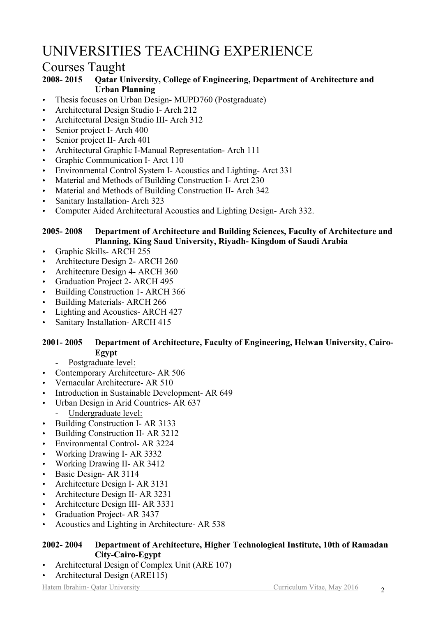## UNIVERSITIES TEACHING EXPERIENCE

## Courses Taught

#### **2008- 2015 Qatar University, College of Engineering, Department of Architecture and Urban Planning**

- Thesis focuses on Urban Design- MUPD760 (Postgraduate)
- Architectural Design Studio I- Arch 212
- Architectural Design Studio III- Arch 312
- Senior project I- Arch 400
- Senior project II- Arch 401
- Architectural Graphic I-Manual Representation- Arch 111
- Graphic Communication I- Arct 110
- Environmental Control System I- Acoustics and Lighting- Arct 331
- Material and Methods of Building Construction I- Arct 230
- Material and Methods of Building Construction II- Arch 342
- Sanitary Installation- Arch 323
- Computer Aided Architectural Acoustics and Lighting Design- Arch 332.

#### **2005- 2008 Department of Architecture and Building Sciences, Faculty of Architecture and Planning, King Saud University, Riyadh- Kingdom of Saudi Arabia**

- Graphic Skills- ARCH 255
- Architecture Design 2- ARCH 260
- Architecture Design 4- ARCH 360
- Graduation Project 2- ARCH 495
- Building Construction 1- ARCH 366
- Building Materials- ARCH 266
- Lighting and Acoustics- ARCH 427
- Sanitary Installation- ARCH 415

#### **2001- 2005 Department of Architecture, Faculty of Engineering, Helwan University, Cairo-Egypt**

- Postgraduate level:

- Contemporary Architecture- AR 506
- Vernacular Architecture- AR 510
- Introduction in Sustainable Development- AR 649
- Urban Design in Arid Countries- AR 637
	- Undergraduate level:
- Building Construction I- AR 3133
- Building Construction II- AR 3212
- Environmental Control- AR 3224
- Working Drawing I- AR 3332
- Working Drawing II- AR 3412
- Basic Design- AR 3114
- Architecture Design I- AR 3131
- Architecture Design II- AR 3231
- Architecture Design III- AR 3331
- Graduation Project- AR 3437
- Acoustics and Lighting in Architecture- AR 538

#### **2002- 2004 Department of Architecture, Higher Technological Institute, 10th of Ramadan City-Cairo-Egypt**

- Architectural Design of Complex Unit (ARE 107)
- Architectural Design (ARE115)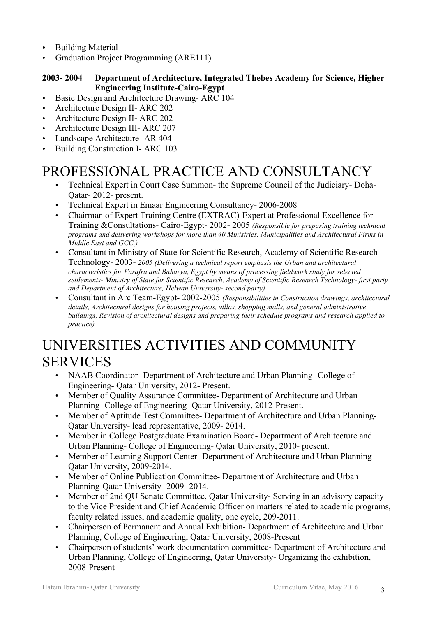- Building Material
- Graduation Project Programming (ARE111)

#### **2003- 2004 Department of Architecture, Integrated Thebes Academy for Science, Higher Engineering Institute-Cairo-Egypt**

- Basic Design and Architecture Drawing- ARC 104
- Architecture Design II- ARC 202
- Architecture Design II- ARC 202
- Architecture Design III- ARC 207
- Landscape Architecture- AR 404
- Building Construction I- ARC 103

## PROFESSIONAL PRACTICE AND CONSULTANCY

- Technical Expert in Court Case Summon- the Supreme Council of the Judiciary- Doha-Qatar- 2012- present.
- Technical Expert in Emaar Engineering Consultancy- 2006-2008
- Chairman of Expert Training Centre (EXTRAC)-Expert at Professional Excellence for Training &Consultations- Cairo-Egypt- 2002- 2005 *(Responsible for preparing training technical programs and delivering workshops for more than 40 Ministries, Municipalities and Architectural Firms in Middle East and GCC.)*
- Consultant in Ministry of State for Scientific Research, Academy of Scientific Research Technology- 2003- *2005 (Delivering a technical report emphasis the Urban and architectural characteristics for Farafra and Baharya, Egypt by means of processing fieldwork study for selected settlements- Ministry of State for Scientific Research, Academy of Scientific Research Technology- first party and Department of Architecture, Helwan University- second party)*
- Consultant in Arc Team-Egypt- 2002-2005 *(Responsibilities in Construction drawings, architectural details, Architectural designs for housing projects, villas, shopping malls, and general administrative buildings, Revision of architectural designs and preparing their schedule programs and research applied to practice)*

## UNIVERSITIES ACTIVITIES AND COMMUNITY SERVICES

- NAAB Coordinator- Department of Architecture and Urban Planning-College of Engineering- Qatar University, 2012- Present.
- Member of Quality Assurance Committee- Department of Architecture and Urban Planning- College of Engineering- Qatar University, 2012-Present.
- Member of Aptitude Test Committee- Department of Architecture and Urban Planning-Qatar University- lead representative, 2009- 2014.
- Member in College Postgraduate Examination Board- Department of Architecture and Urban Planning- College of Engineering- Qatar University, 2010- present.
- Member of Learning Support Center- Department of Architecture and Urban Planning-Qatar University, 2009-2014.
- Member of Online Publication Committee- Department of Architecture and Urban Planning-Qatar University- 2009- 2014.
- Member of 2nd OU Senate Committee, Oatar University-Serving in an advisory capacity to the Vice President and Chief Academic Officer on matters related to academic programs, faculty related issues, and academic quality, one cycle, 209-2011.
- Chairperson of Permanent and Annual Exhibition- Department of Architecture and Urban Planning, College of Engineering, Qatar University, 2008-Present
- Chairperson of students' work documentation committee- Department of Architecture and Urban Planning, College of Engineering, Qatar University- Organizing the exhibition, 2008-Present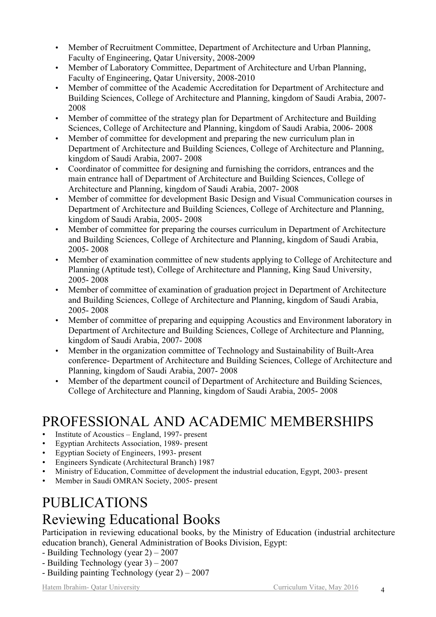- Member of Recruitment Committee, Department of Architecture and Urban Planning, Faculty of Engineering, Qatar University, 2008-2009
- Member of Laboratory Committee, Department of Architecture and Urban Planning, Faculty of Engineering, Qatar University, 2008-2010
- Member of committee of the Academic Accreditation for Department of Architecture and Building Sciences, College of Architecture and Planning, kingdom of Saudi Arabia, 2007- 2008
- Member of committee of the strategy plan for Department of Architecture and Building Sciences, College of Architecture and Planning, kingdom of Saudi Arabia, 2006- 2008
- Member of committee for development and preparing the new curriculum plan in Department of Architecture and Building Sciences, College of Architecture and Planning, kingdom of Saudi Arabia, 2007- 2008
- Coordinator of committee for designing and furnishing the corridors, entrances and the main entrance hall of Department of Architecture and Building Sciences, College of Architecture and Planning, kingdom of Saudi Arabia, 2007- 2008
- Member of committee for development Basic Design and Visual Communication courses in Department of Architecture and Building Sciences, College of Architecture and Planning, kingdom of Saudi Arabia, 2005- 2008
- Member of committee for preparing the courses curriculum in Department of Architecture and Building Sciences, College of Architecture and Planning, kingdom of Saudi Arabia, 2005- 2008
- Member of examination committee of new students applying to College of Architecture and Planning (Aptitude test), College of Architecture and Planning, King Saud University, 2005- 2008
- Member of committee of examination of graduation project in Department of Architecture and Building Sciences, College of Architecture and Planning, kingdom of Saudi Arabia, 2005- 2008
- Member of committee of preparing and equipping Acoustics and Environment laboratory in Department of Architecture and Building Sciences, College of Architecture and Planning, kingdom of Saudi Arabia, 2007- 2008
- Member in the organization committee of Technology and Sustainability of Built-Area conference- Department of Architecture and Building Sciences, College of Architecture and Planning, kingdom of Saudi Arabia, 2007- 2008
- Member of the department council of Department of Architecture and Building Sciences, College of Architecture and Planning, kingdom of Saudi Arabia, 2005- 2008

## PROFESSIONAL AND ACADEMIC MEMBERSHIPS

- Institute of Acoustics England, 1997- present
- Egyptian Architects Association, 1989- present
- Egyptian Society of Engineers, 1993- present
- Engineers Syndicate (Architectural Branch) 1987
- Ministry of Education, Committee of development the industrial education, Egypt, 2003- present
- Member in Saudi OMRAN Society, 2005- present

## PUBLICATIONS Reviewing Educational Books

Participation in reviewing educational books, by the Ministry of Education (industrial architecture education branch), General Administration of Books Division, Egypt:

- Building Technology (year 2) 2007
- Building Technology (year 3) 2007
- Building painting Technology (year 2) 2007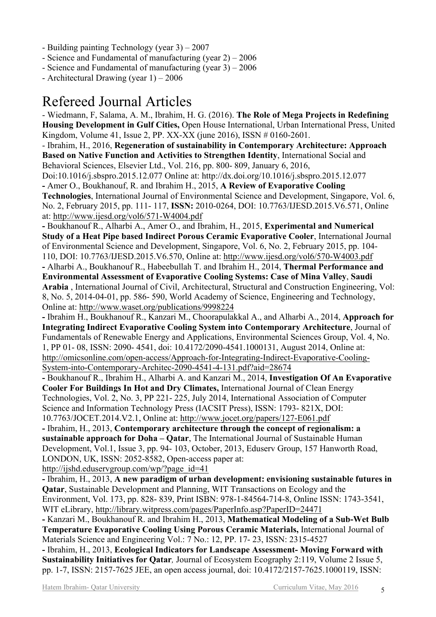- Building painting Technology (year 3) 2007
- Science and Fundamental of manufacturing (year 2) 2006
- Science and Fundamental of manufacturing (year 3) 2006
- Architectural Drawing (year 1) 2006

## Refereed Journal Articles

- Wiedmann, F, Salama, A. M., Ibrahim, H. G. (2016). **The Role of Mega Projects in Redefining Housing Development in Gulf Cities,** Open House International, Urban International Press, United Kingdom, Volume 41, Issue 2, PP. XX-XX (june 2016), ISSN # 0160-2601.

- Ibrahim, H., 2016, **Regeneration of sustainability in Contemporary Architecture: Approach Based on Native Function and Activities to Strengthen Identity**, International Social and Behavioral Sciences, Elsevier Ltd., Vol. 216, pp. 800- 809, January 6, 2016,

Doi:10.1016/j.sbspro.2015.12.077 Online at: http://dx.doi.org/10.1016/j.sbspro.2015.12.077

**-** Amer O., Boukhanouf, R. and Ibrahim H., 2015, **A Review of Evaporative Cooling Technologies**, International Journal of Environmental Science and Development, Singapore, Vol. 6, No. 2, February 2015, pp. 111- 117, **ISSN:** 2010-0264, DOI: 10.7763/IJESD.2015.V6.571, Online at: http://www.ijesd.org/vol6/571-W4004.pdf

**-** Boukhanouf R., Alharbi A., Amer O., and Ibrahim, H., 2015, **Experimental and Numerical Study of a Heat Pipe based Indirect Porous Ceramic Evaporative Cooler**, International Journal of Environmental Science and Development, Singapore, Vol. 6, No. 2, February 2015, pp. 104-

110, DOI: 10.7763/IJESD.2015.V6.570, Online at: http://www.ijesd.org/vol6/570-W4003.pdf **-** Alharbi A., Boukhanouf R., Habeebullah T. and Ibrahim H., 2014, **Thermal Performance and** 

**Environmental Assessment of Evaporative Cooling Systems: Case of Mina Valley**, **Saudi Arabia** , International Journal of Civil, Architectural, Structural and Construction Engineering, Vol: 8, No. 5, 2014-04-01, pp. 586- 590, World Academy of Science, Engineering and Technology, Online at: http://www.waset.org/publications/9998224

**-** Ibrahim H., Boukhanouf R., Kanzari M., Choorapulakkal A., and Alharbi A., 2014, **Approach for Integrating Indirect Evaporative Cooling System into Contemporary Architecture**, Journal of Fundamentals of Renewable Energy and Applications, Environmental Sciences Group, Vol. 4, No. 1, PP 01- 08, ISSN: 2090- 4541, doi: 10.4172/2090-4541.1000131, August 2014, Online at: http://omicsonline.com/open-access/Approach-for-Integrating-Indirect-Evaporative-Cooling-System-into-Contemporary-Architec-2090-4541-4-131.pdf?aid=28674

**-** Boukhanouf R., Ibrahim H., Alharbi A. and Kanzari M., 2014, **Investigation Of An Evaporative Cooler For Buildings In Hot and Dry Climates,** International Journal of Clean Energy Technologies, Vol. 2, No. 3, PP 221- 225, July 2014, International Association of Computer Science and Information Technology Press (IACSIT Press), ISSN: 1793- 821X, DOI: 10.7763/JOCET.2014.V2.1, Online at: http://www.jocet.org/papers/127-E061.pdf

**-** Ibrahim, H., 2013, **Contemporary architecture through the concept of regionalism: a sustainable approach for Doha – Qatar**, The International Journal of Sustainable Human Development, Vol.1, Issue 3, pp. 94- 103, October, 2013, Eduserv Group, 157 Hanworth Road, LONDON, UK, ISSN: 2052-8582, Open-access paper at:

http://ijshd.eduservgroup.com/wp/?page\_id=41

**-** Ibrahim, H., 2013, **A new paradigm of urban development: envisioning sustainable futures in Qatar**, Sustainable Development and Planning, WIT Transactions on Ecology and the Environment, Vol. 173, pp. 828- 839, Print ISBN: 978-1-84564-714-8, Online ISSN: 1743-3541, WIT eLibrary, http://library.witpress.com/pages/PaperInfo.asp?PaperID=24471

**-** Kanzari M., Boukhanouf R. and Ibrahim H., 2013, **Mathematical Modeling of a Sub-Wet Bulb Temperature Evaporative Cooling Using Porous Ceramic Materials,** International Journal of Materials Science and Engineering Vol.: 7 No.: 12, PP. 17- 23, ISSN: 2315-4527

**-** Ibrahim, H., 2013, **Ecological Indicators for Landscape Assessment- Moving Forward with Sustainability Initiatives for Qatar***,* Journal of Ecosystem Ecography 2:119, Volume 2 Issue 5, pp. 1-7, ISSN: 2157-7625 JEE, an open access journal, doi: 10.4172/2157-7625.1000119, ISSN: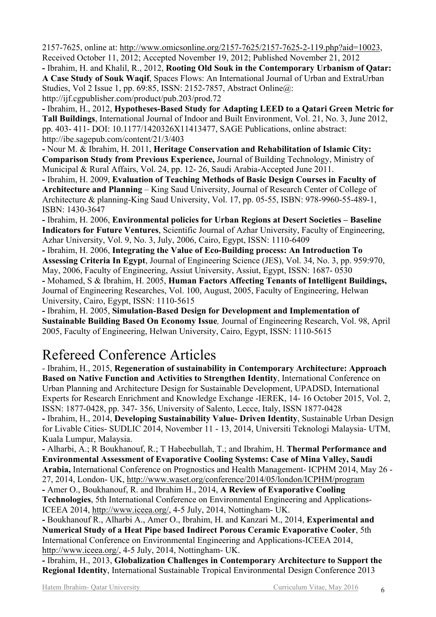2157-7625, online at: http://www.omicsonline.org/2157-7625/2157-7625-2-119.php?aid=10023, Received October 11, 2012; Accepted November 19, 2012; Published November 21, 2012

**-** Ibrahim, H. and Khalil, R., 2012, **Rooting Old Souk in the Contemporary Urbanism of Qatar: A Case Study of Souk Waqif**, Spaces Flows: An International Journal of Urban and ExtraUrban Studies, Vol 2 Issue 1, pp. 69:85, ISSN: 2152-7857, Abstract Online@: http://ijf.cgpublisher.com/product/pub.203/prod.72

**-** Ibrahim, H., 2012, **Hypotheses-Based Study for Adapting LEED to a Qatari Green Metric for Tall Buildings**, International Journal of Indoor and Built Environment, Vol. 21, No. 3, June 2012, pp. 403- 411- DOI: 10.1177/1420326X11413477, SAGE Publications, online abstract: http://ibe.sagepub.com/content/21/3/403

**-** Nour M. & Ibrahim, H. 2011, **Heritage Conservation and Rehabilitation of Islamic City: Comparison Study from Previous Experience,** Journal of Building Technology, Ministry of Municipal & Rural Affairs, Vol. 24, pp. 12- 26, Saudi Arabia-Accepted June 2011.

**-** Ibrahim, H. 2009, **Evaluation of Teaching Methods of Basic Design Courses in Faculty of Architecture and Planning** – King Saud University, Journal of Research Center of College of Architecture & planning-King Saud University, Vol. 17, pp. 05-55, ISBN: 978-9960-55-489-1, ISBN: 1430-3647

**-** Ibrahim, H. 2006, **Environmental policies for Urban Regions at Desert Societies – Baseline Indicators for Future Ventures**, Scientific Journal of Azhar University, Faculty of Engineering, Azhar University, Vol. 9, No. 3, July, 2006, Cairo, Egypt, ISSN: 1110-6409

**-** Ibrahim, H. 2006, **Integrating the Value of Eco-Building process: An Introduction To Assessing Criteria In Egypt**, Journal of Engineering Science (JES), Vol. 34, No. 3, pp. 959:970, May, 2006, Faculty of Engineering, Assiut University, Assiut, Egypt, ISSN: 1687- 0530 **-** Mohamed, S & Ibrahim, H. 2005, **Human Factors Affecting Tenants of Intelligent Buildings,**  Journal of Engineering Researches, Vol. 100, August, 2005, Faculty of Engineering, Helwan University, Cairo, Egypt, ISSN: 1110-5615

**-** Ibrahim, H. 2005, **Simulation-Based Design for Development and Implementation of Sustainable Building Based On Economy Issue***,* Journal of Engineering Research, Vol. 98, April 2005, Faculty of Engineering, Helwan University, Cairo, Egypt, ISSN: 1110-5615

## Refereed Conference Articles

- Ibrahim, H., 2015, **Regeneration of sustainability in Contemporary Architecture: Approach Based on Native Function and Activities to Strengthen Identity**, International Conference on Urban Planning and Architecture Design for Sustainable Development, UPADSD, International Experts for Research Enrichment and Knowledge Exchange -IEREK, 14- 16 October 2015, Vol. 2, ISSN: 1877-0428, pp. 347- 356, University of Salento, Lecce, Italy, ISSN 1877-0428 **-** Ibrahim, H., 2014, **Developing Sustainability Value- Driven Identity**, Sustainable Urban Design for Livable Cities- SUDLIC 2014, November 11 - 13, 2014, Universiti Teknologi Malaysia- UTM, Kuala Lumpur, Malaysia.

**-** Alharbi, A.; R Boukhanouf, R.; T Habeebullah, T.; and Ibrahim, H. **Thermal Performance and Environmental Assessment of Evaporative Cooling Systems: Case of Mina Valley, Saudi Arabia,** International Conference on Prognostics and Health Management- ICPHM 2014, May 26 - 27, 2014, London- UK, http://www.waset.org/conference/2014/05/london/ICPHM/program

**-** Amer O., Boukhanouf, R. and Ibrahim H., 2014, **A Review of Evaporative Cooling Technologies**, 5th International Conference on Environmental Engineering and Applications-ICEEA 2014, http://www.iceea.org/, 4-5 July, 2014, Nottingham- UK.

**-** Boukhanouf R., Alharbi A., Amer O., Ibrahim, H. and Kanzari M., 2014, **Experimental and Numerical Study of a Heat Pipe based Indirect Porous Ceramic Evaporative Cooler**, 5th International Conference on Environmental Engineering and Applications-ICEEA 2014, http://www.iceea.org/, 4-5 July, 2014, Nottingham- UK.

**-** Ibrahim, H., 2013, **Globalization Challenges in Contemporary Architecture to Support the Regional Identity**, International Sustainable Tropical Environmental Design Conference 2013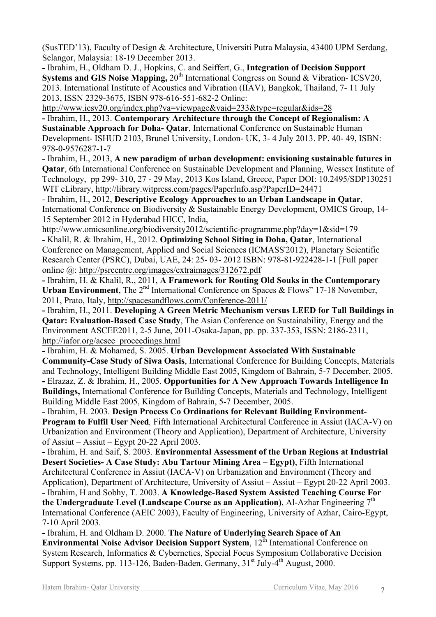(SusTED'13), Faculty of Design & Architecture, Universiti Putra Malaysia, 43400 UPM Serdang, Selangor, Malaysia: 18-19 December 2013.

**-** Ibrahim, H., Oldham D. J., Hopkins, C. and Seiffert, G., **Integration of Decision Support Systems and GIS Noise Mapping, 20<sup>th</sup> International Congress on Sound & Vibration- ICSV20,** 2013. International Institute of Acoustics and Vibration (IIAV), Bangkok, Thailand, 7- 11 July 2013, ISSN 2329-3675, ISBN 978-616-551-682-2 Online:

http://www.icsv20.org/index.php?va=viewpage&vaid=233&type=regular&ids=28

**-** Ibrahim, H., 2013. **Contemporary Architecture through the Concept of Regionalism: A Sustainable Approach for Doha- Qatar**, International Conference on Sustainable Human Development- ISHUD 2103, Brunel University, London- UK, 3- 4 July 2013. PP. 40- 49, ISBN: 978-0-9576287-1-7

**-** Ibrahim, H., 2013, **A new paradigm of urban development: envisioning sustainable futures in Qatar**, 6th International Conference on Sustainable Development and Planning, Wessex Institute of Technology, pp 299- 310, 27 - 29 May, 2013 Kos Island, Greece, Paper DOI: 10.2495/SDP130251 WIT eLibrary, http://library.witpress.com/pages/PaperInfo.asp?PaperID=24471

- Ibrahim, H., 2012, **Descriptive Ecology Approaches to an Urban Landscape in Qatar**, International Conference on Biodiversity & Sustainable Energy Development, OMICS Group, 14- 15 September 2012 in Hyderabad HICC, India,

http://www.omicsonline.org/biodiversity2012/scientific-programme.php?day=1&sid=179 **-** Khalil, R. & Ibrahim, H., 2012. **Optimizing School Siting in Doha, Qatar**, International Conference on Management, Applied and Social Sciences (ICMASS'2012), Planetary Scientific Research Center (PSRC), Dubai, UAE, 24: 25- 03- 2012 ISBN: 978-81-922428-1-1 [Full paper online @: http://psrcentre.org/images/extraimages/312672.pdf

**-** Ibrahim, H. & Khalil, R., 2011, **A Framework for Rooting Old Souks in the Contemporary Urban Environment**, The 2<sup>nd</sup> International Conference on Spaces & Flows" 17-18 November, 2011, Prato, Italy, http://spacesandflows.com/Conference-2011/

**-** Ibrahim, H., 2011. **Developing A Green Metric Mechanism versus LEED for Tall Buildings in Qatar: Evaluation-Based Case Study**, The Asian Conference on Sustainability, Energy and the Environment ASCEE2011, 2-5 June, 2011-Osaka-Japan, pp. pp. 337-353, ISSN: 2186-2311, http://iafor.org/acsee\_proceedings.html

**-** Ibrahim, H. & Mohamed, S. 2005. **Urban Development Associated With Sustainable Community-Case Study of Siwa Oasis**, International Conference for Building Concepts, Materials and Technology, Intelligent Building Middle East 2005, Kingdom of Bahrain, 5-7 December, 2005. **-** Elrazaz, Z. & Ibrahim, H., 2005. **Opportunities for A New Approach Towards Intelligence In Buildings,** International Conference for Building Concepts, Materials and Technology, Intelligent Building Middle East 2005, Kingdom of Bahrain, 5-7 December, 2005.

**-** Ibrahim, H. 2003. **Design Process Co Ordinations for Relevant Building Environment-Program to Fulfil User Need***,* Fifth International Architectural Conference in Assiut (IACA-V) on Urbanization and Environment (Theory and Application), Department of Architecture, University of Assiut – Assiut – Egypt 20-22 April 2003.

**-** Ibrahim, H. and Saif, S. 2003. **Environmental Assessment of the Urban Regions at Industrial Desert Societies- A Case Study: Abu Tartour Mining Area – Egypt)**, Fifth International Architectural Conference in Assiut (IACA-V) on Urbanization and Environment (Theory and Application), Department of Architecture, University of Assiut – Assiut – Egypt 20-22 April 2003. **-** Ibrahim, H and Sobhy, T. 2003. **A Knowledge-Based System Assisted Teaching Course For the Undergraduate Level (Landscape Course as an Application)**, Al-Azhar Engineering 7<sup>th</sup> International Conference (AEIC 2003), Faculty of Engineering, University of Azhar, Cairo-Egypt, 7-10 April 2003.

**-** Ibrahim, H. and Oldham D. 2000. **The Nature of Underlying Search Space of An Environmental Noise Advisor Decision Support System, 12<sup>th</sup> International Conference on** System Research, Informatics & Cybernetics, Special Focus Symposium Collaborative Decision Support Systems, pp. 113-126, Baden-Baden, Germany, 31<sup>st</sup> July-4<sup>th</sup> August, 2000.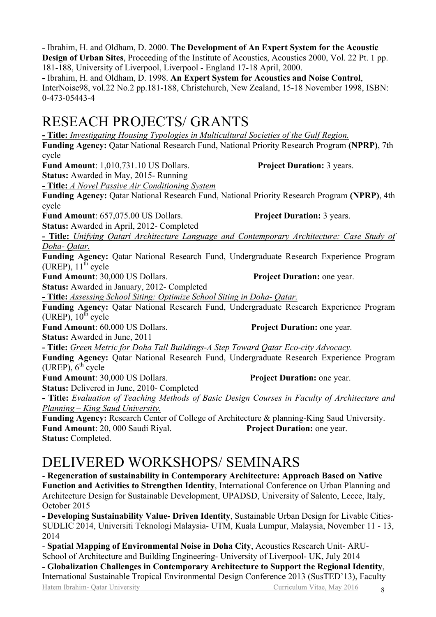**- Title:** *Investigating Housing Typologies in Multicultural Societies of the Gulf Region.* **Funding Agency:** Qatar National Research Fund, National Priority Research Program **(NPRP)**, 7th cycle **Fund Amount**: 1,010,731.10 US Dollars. **Project Duration:** 3 years. **Status:** Awarded in May, 2015- Running **- Title:** *A Novel Passive Air Conditioning System* **Funding Agency:** Qatar National Research Fund, National Priority Research Program **(NPRP)**, 4th cycle **Fund Amount**: 657,075.00 US Dollars. **Project Duration:** 3 years. **Status:** Awarded in April, 2012- Completed **- Title:** *Unifying Qatari Architecture Language and Contemporary Architecture: Case Study of Doha- Qatar.* **Funding Agency:** Qatar National Research Fund, Undergraduate Research Experience Program (UREP),  $11<sup>th</sup>$  cycle **Fund Amount**: 30,000 US Dollars. **Project Duration:** one year. **Status:** Awarded in January, 2012- Completed **- Title:** *Assessing School Siting: Optimize School Siting in Doha- Qatar.* **Funding Agency:** Qatar National Research Fund, Undergraduate Research Experience Program (UREP),  $10^{th}$  cycle **Fund Amount**: 60,000 US Dollars. **Project Duration:** one year. **Status:** Awarded in June, 2011

**- Title:** *Green Metric for Doha Tall Buildings-A Step Toward Qatar Eco-city Advocacy.* **Funding Agency:** Qatar National Research Fund, Undergraduate Research Experience Program  $(UREP)$ ,  $6<sup>th</sup>$  cycle

**Fund Amount:** 30,000 US Dollars. **Project Duration:** one year.

**Status:** Delivered in June, 2010- Completed

**- Title:** *Evaluation of Teaching Methods of Basic Design Courses in Faculty of Architecture and Planning – King Saud University.* 

**Funding Agency:** Research Center of College of Architecture & planning-King Saud University. **Fund Amount**: 20, 000 Saudi Riyal. **Project Duration:** one year. **Status:** Completed.

# DELIVERED WORKSHOPS/ SEMINARS

- **Regeneration of sustainability in Contemporary Architecture: Approach Based on Native Function and Activities to Strengthen Identity**, International Conference on Urban Planning and Architecture Design for Sustainable Development, UPADSD, University of Salento, Lecce, Italy, October 2015

**- Developing Sustainability Value- Driven Identity**, Sustainable Urban Design for Livable Cities-SUDLIC 2014, Universiti Teknologi Malaysia- UTM, Kuala Lumpur, Malaysia, November 11 - 13, 2014

- **Spatial Mapping of Environmental Noise in Doha City**, Acoustics Research Unit- ARU-School of Architecture and Building Engineering- University of Liverpool- UK, July 2014 **- Globalization Challenges in Contemporary Architecture to Support the Regional Identity**,

Hatem Ibrahim- Qatar University **Curriculum Vitae, May 2016** 8 International Sustainable Tropical Environmental Design Conference 2013 (SusTED'13), Faculty

# RESEACH PROJECTS/ GRANTS

### **-** Ibrahim, H. and Oldham, D. 1998. **An Expert System for Acoustics and Noise Control**, InterNoise98, vol.22 No.2 pp.181-188, Christchurch, New Zealand, 15-18 November 1998, ISBN:

0-473-05443-4

**-** Ibrahim, H. and Oldham, D. 2000. **The Development of An Expert System for the Acoustic Design of Urban Sites**, Proceeding of the Institute of Acoustics, Acoustics 2000, Vol. 22 Pt. 1 pp. 181-188, University of Liverpool, Liverpool - England 17-18 April, 2000.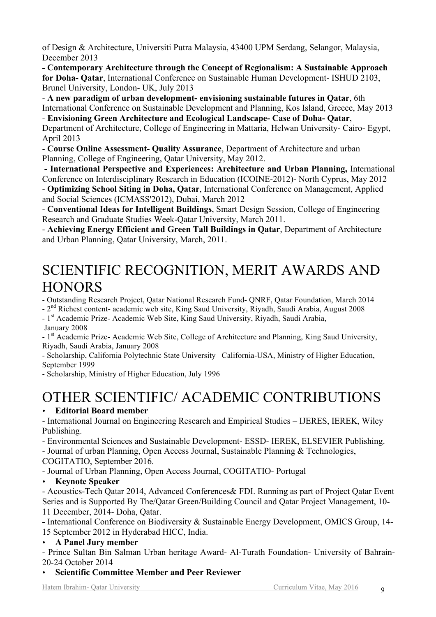of Design & Architecture, Universiti Putra Malaysia, 43400 UPM Serdang, Selangor, Malaysia, December 2013

**- Contemporary Architecture through the Concept of Regionalism: A Sustainable Approach for Doha- Qatar**, International Conference on Sustainable Human Development- ISHUD 2103, Brunel University, London- UK, July 2013

- **A new paradigm of urban development- envisioning sustainable futures in Qatar**, 6th International Conference on Sustainable Development and Planning, Kos Island, Greece, May 2013

- **Envisioning Green Architecture and Ecological Landscape- Case of Doha- Qatar**, Department of Architecture, College of Engineering in Mattaria, Helwan University- Cairo- Egypt, April 2013

- **Course Online Assessment- Quality Assurance**, Department of Architecture and urban Planning, College of Engineering, Qatar University, May 2012.

**- International Perspective and Experiences: Architecture and Urban Planning,** International Conference on Interdisciplinary Research in Education (ICOINE-2012)- North Cyprus, May 2012

- **Optimizing School Siting in Doha, Qatar**, International Conference on Management, Applied and Social Sciences (ICMASS'2012), Dubai, March 2012

- **Conventional Ideas for Intelligent Buildings**, Smart Design Session, College of Engineering Research and Graduate Studies Week-Qatar University, March 2011.

- **Achieving Energy Efficient and Green Tall Buildings in Qatar**, Department of Architecture and Urban Planning, Qatar University, March, 2011.

# SCIENTIFIC RECOGNITION, MERIT AWARDS AND **HONORS**

- Outstanding Research Project, Qatar National Research Fund- QNRF, Qatar Foundation, March 2014

- 2<sup>nd</sup> Richest content- academic web site, King Saud University, Riyadh, Saudi Arabia, August 2008

- 1<sup>st</sup> Academic Prize- Academic Web Site, King Saud University, Riyadh, Saudi Arabia, January 2008

- 1<sup>st</sup> Academic Prize- Academic Web Site, College of Architecture and Planning, King Saud University, Riyadh, Saudi Arabia, January 2008

- Scholarship, California Polytechnic State University– California-USA, Ministry of Higher Education, September 1999

- Scholarship, Ministry of Higher Education, July 1996

# OTHER SCIENTIFIC/ ACADEMIC CONTRIBUTIONS

## • **Editorial Board member**

- International Journal on Engineering Research and Empirical Studies – IJERES, IEREK, Wiley Publishing.

- Environmental Sciences and Sustainable Development- ESSD- IEREK, ELSEVIER Publishing.

- Journal of urban Planning, Open Access Journal, Sustainable Planning & Technologies,

COGITATIO, September 2016.

- Journal of Urban Planning, Open Access Journal, COGITATIO- Portugal

### • **Keynote Speaker**

- Acoustics-Tech Qatar 2014, Advanced Conferences& FDI. Running as part of Project Qatar Event Series and is Supported By The/Qatar Green/Building Council and Qatar Project Management, 10- 11 December, 2014- Doha, Qatar.

**-** International Conference on Biodiversity & Sustainable Energy Development, OMICS Group, 14- 15 September 2012 in Hyderabad HICC, India.

### • **A Panel Jury member**

- Prince Sultan Bin Salman Urban heritage Award- Al-Turath Foundation- University of Bahrain-20-24 October 2014

• **Scientific Committee Member and Peer Reviewer**